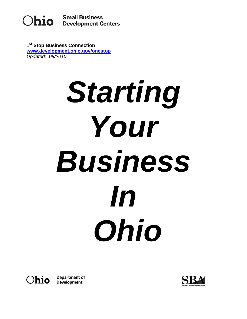

**1st Stop Business Connection [www.development.ohio.gov/onestop](http://www.development.ohio.gov/onestop)**  *Updated: 08/2010*

# **Starting** *Your Business In Ohio*



**Department of<br>Development** 

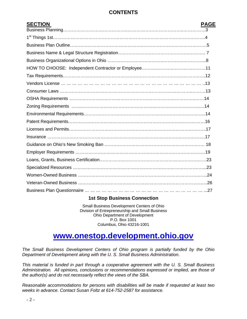# **CONTENTS**

| <b>SECTION</b> | <b>PAGE</b> |
|----------------|-------------|
|                |             |
|                |             |
|                |             |
|                |             |
|                |             |
|                |             |
|                |             |
|                |             |
|                |             |
|                |             |
|                |             |
|                |             |
|                |             |
|                |             |
|                |             |
|                |             |
|                |             |
|                |             |
|                |             |
|                |             |
|                |             |
|                |             |
|                |             |

# **1st Stop Business Connection**

Small Business Development Centers of Ohio Division of Entrepreneurship and Small Business Ohio Department of Development P.O. Box 1001 Columbus, Ohio 43216-1001

# **[www.onestop.development.ohio.gov](http://www.onestop.development.ohio.gov/)**

*The Small Business Development Centers of Ohio program is partially funded by the Ohio Department of Development along with the U. S. Small Business Administration.* 

*This material is funded in part through a cooperative agreement with the U. S. Small Business Administration. All opinions, conclusions or recommendations expressed or implied, are those of the author(s) and do not necessarily reflect the views of the SBA.* 

*Reasonable accommodations for persons with disabilities will be made if requested at least two weeks in advance. Contact Susan Foltz at 614-752-2587 for assistance.*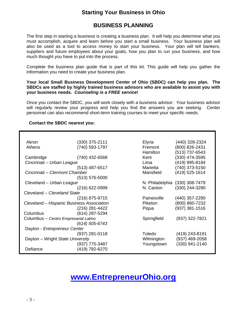# **Starting Your Business in Ohio**

# **BUSINESS PLANNING**

The first step in starting a business is creating a business plan. It will help you determine what you must accomplish, acquire and learn before you start a small business. Your business plan will also be used as a tool to access money to start your business. Your plan will tell bankers, suppliers and future employees about your goals, how you plan to run your business, and how much thought you have to put into the process.

Complete the business plan guide that is part of this kit. This guide will help you gather the information you need to create your business plan.

#### **Your local Small Business Development Center of Ohio (SBDC) can help you plan. The SBDCs are staffed by highly trained business advisors who are available to assist you with your business needs.** *Counseling is a FREE service***!**

Once you contact the SBDC, you will work closely with a business advisor. Your business advisor will regularly review your progress and help you find the answers you are seeking. Center personnel can also recommend short-term training courses to meet your specific needs.

#### **Contact the SBDC nearest you:**

| Akron                                     | $(330)$ 375-2111   | Elyria          | (440) 328-2324   |
|-------------------------------------------|--------------------|-----------------|------------------|
| Athens                                    | (740) 593-1797     | Fremont         | (800) 826-2431   |
|                                           |                    | Hamilton        | (513) 737-6543   |
| Cambridge                                 | (740) 432-6568     | Kent            | (330) 474-3595   |
| Cincinnati - Urban League                 |                    | Lima            | (419) 995-8184   |
|                                           | $(513)$ 487-6517   | Marietta        | (740) 373-5150   |
| Cincinnati – Clermont Chamber             |                    | Mansfield       | (419) 525-1614   |
|                                           | $(513) 576 - 5000$ |                 |                  |
| Cleveland - Urban League                  |                    | N. Philadelphia | $(330)$ 308-7479 |
|                                           | (216) 622-0999     | N. Canton       | (330) 244-3290   |
| Cleveland - Cleveland State               |                    |                 |                  |
|                                           | (216) 875-9715     | Painesville     | (440) 357-2290   |
| Cleveland - Hispanic Business Association |                    | Piketon         | (800) 860-7232   |
|                                           | (216) 281-4422     | Piqua           | $(937)$ 381-1516 |
| Columbus                                  | (614) 287-5294     |                 |                  |
| Columbus - Centro Empresarial Latino      |                    | Springfield     | (937) 322-7821   |
|                                           | $(614)$ 505-6743   |                 |                  |
| Dayton - Entrepreneur Center              |                    |                 |                  |
|                                           | $(937)$ 281-0118   | Toledo          | (419) 243-8191   |
| Dayton - Wright State University          |                    | Wilmington      | (937) 469-2058   |
|                                           | $(937)$ 775-3487   | Youngstown      | (330) 941-2140   |
| Defiance                                  | (419) 782-6270     |                 |                  |

# **[www.EntrepreneurOhio.org](http://www.entrepreneurohio.org/)**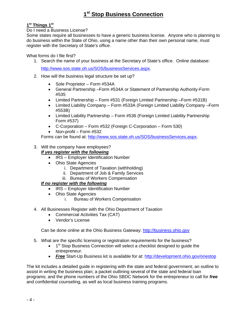# **1st Things 1st**

Do I need a Business License?

Some states require all businesses to have a generic business license. Anyone who is planning to do business within the State of Ohio, using a name other than their own personal name, must register with the Secretary of State's office.

What forms do I file first?

1. Search the name of your business at the Secretary of State's office. Online database:

[http://www.sos.state.oh.us/SOS/businessServices.aspx.](http://www.sos.state.oh.us/SOS/businessServices.aspx)

- 2. How will the business legal structure be set up?
	- Sole Proprietor Form #534A
	- General Partnership –Form #534A or Statement of Partnership Authority-Form #535
	- Limited Partnership Form #531 (Foreign Limited Partnership –Form #531B)
	- Limited Liability Company Form #533A (Foreign Limited Liability Company –Form #553B)
	- Limited Liability Partnership Form #536 (Foreign Limited Liability Partnership Form #537)
	- C-Corporation Form #532 (Foreign C-Corporation Form 530)
	- Non-profit Form #532

Forms can be found at: [http://www.sos.state.oh.us/SOS/businessServices.aspx.](http://www.sos.state.oh.us/SOS/businessServices.aspx)

# 3. Will the company have employees?

## *If yes register with the following*

- IRS Employer Identification Number
- Ohio State Agencies
	- i. Department of Taxation (withholding)
	- ii. Department of Job & Family Services
	- iii. Bureau of Workers Compensation

## *If no register with the following*

- IRS Employer Identification Number
- Ohio State Agencies
	- i. Bureau of Workers Compensation
- 4. All Businesses Register with the Ohio Department of Taxation
	- Commercial Activities Tax (CAT)
	- Vendor's License

Can be done online at the Ohio Business Gateway: [http://business.ohio.gov](http://business.ohio.gov/)

- 5. What are the specific licensing or registration requirements for the business?
	- $\bullet$  1<sup>st</sup> Stop Business Connection will select a checklist designed to guide the entrepreneur.
	- *Free* Start-Up Business kit is available for at: <http://development.ohio.gov/onestop>

The kit includes a detailed guide in registering with the state and federal government; an outline to assist in writing the business plan; a packet outlining several of the state and federal loan programs; and the phone numbers of the Ohio SBDC Network for the entrepreneur to call for *free*  and confidential counseling, as well as local business training programs.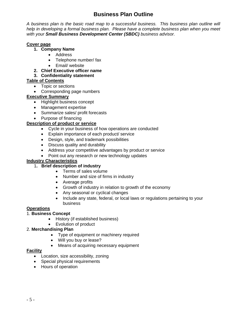# **Business Plan Outline**

*A business plan is the basic road map to a successful business. This business plan outline will help in developing a formal business plan. Please have a complete business plan when you meet with your Small Business Development Center (SBDC) business advisor.* 

## **Cover page**

- **1. Company Name** 
	- Address
	- Telephone number/ fax
	- Email/ website
- **2. Chief Executive officer name**

## **3. Confidentiality statement**

# **Table of Contents**

- Topic or sections
- Corresponding page numbers

# **Executive Summary**

- Highlight business concept
- Management expertise
- Summarize sales/ profit forecasts
- Purpose of financing

# **Description of product or service**

- Cycle in your business of how operations are conducted
- Explain importance of each product/ service
- Design, style, and trademark possibilities
- Discuss quality and durability
- Address your competitive advantages by product or service
- Point out any research or new technology updates

# **Industry Characteristics**

## 1**. Brief description of industry**

- Terms of sales volume
- Number and size of firms in industry
- Average profits
- Growth of industry in relation to growth of the economy
- Any seasonal or cyclical changes
- Include any state, federal, or local laws or regulations pertaining to your business

## **Operations**

## 1. **Business Concept**

- History (if established business)
- Evolution of product

## 2. **Merchandising Plan**

- Type of equipment or machinery required
- Will you buy or lease?
- Means of acquiring necessary equipment

## **Facility**

- Location, size accessibility, zoning
- Special physical requirements
- Hours of operation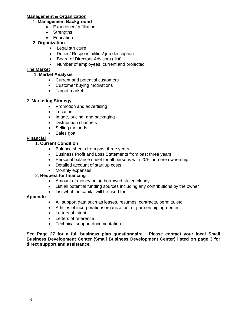#### **Management & Organization**

- 1. **Management Background**
	- Experience/ affiliation
	- Strengths
	- Education

## 2. **Organization**

- Legal structure
- Duties/ Responsibilities/ job description
- Board of Directors Advisors ( list)
- Number of employees, current and projected

# **The Market**

# 1. **Market Analysis**

- Current and potential customers
- Customer buying motivations
- Target market

# 2. **Marketing Strategy**

- Promotion and advertising
- Location
- Image, pricing, and packaging
- Distribution channels
- Selling methods
- Sales goal

# **Financial**

# 1. **Current Condition**

- Balance sheets from past three years
- Business Profit and Loss Statements from past three years
- Personal balance sheet for all persons with 20% or more ownership
- Detailed account of start up costs
- Monthly expenses

# 2. **Request for financing**

- Amount of money being borrowed stated clearly
- List all potential funding sources including any contributions by the owner
- List what the capital will be used for

## **Appendix**

- All support data such as leases, resumes, contracts, permits, etc.
- Articles of incorporation/ organization, or partnership agreement
- Letters of intent
- Letters of reference
- Technical support documentation

**See Page 27 for a full business plan questionnaire. Please contact your local Small Business Development Center (Small Business Development Center) listed on page 3 for direct support and assistance.**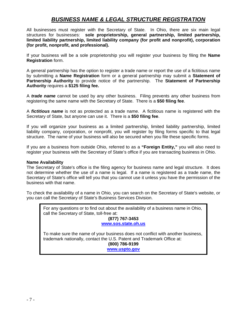# *BUSINESS NAME & LEGAL STRUCTURE REGISTRATION*

All businesses must register with the Secretary of State. In Ohio, there are six main legal structures for businesses: **sole proprietorship, general partnership, limited partnership, limited liability partnership, limited liability company (for profit and nonprofit), corporation (for profit, nonprofit, and professional).** 

If your business will be a sole proprietorship you will register your business by filing the **Name Registration** form.

A general partnership has the option to register a trade name or report the use of a fictitious name by submitting a **Name Registration** form or a general partnership may submit a **Statement of Partnership Authority** to provide notice of the partnership. The **Statement of Partnership Authority** requires a **\$125 filing fee.** 

A *trade name* cannot be used by any other business. Filing prevents any other business from registering the same name with the Secretary of State. There is a **\$50 filing fee**.

A *fictitious name* is not as protected as a trade name. A fictitious name is registered with the Secretary of State, but anyone can use it. There is a **\$50 filing fee**.

If you will organize your business as a limited partnership, limited liability partnership, limited liability company, corporation, or nonprofit, you will register by filing forms specific to that legal structure. The name of your business will also be secured when you file these specific forms.

If you are a business from outside Ohio, referred to as a **"Foreign Entity,"** you will also need to register your business with the Secretary of State's office if you are transacting business in Ohio.

#### **Name Availability**

The Secretary of State's office is the filing agency for business name and legal structure. It does not determine whether the use of a name is legal. If a name is registered as a trade name, the Secretary of State's office will tell you that you cannot use it unless you have the permission of the business with that name.

To check the availability of a name in Ohio, you can search on the Secretary of State's website, or you can call the Secretary of State's Business Services Division.

For any questions or to find out about the availability of a business name in Ohio, call the Secretary of State, toll-free at:

> **(877) 767-3453 [www.sos.state.oh.us](http://www.sos.state.oh.us/)**

To make sure the name of your business does not conflict with another business, trademark nationally, contact the U.S. Patent and Trademark Office at: **(800) 786-9199** 

**[www.uspto.gov](http://www.uspto.gov/)**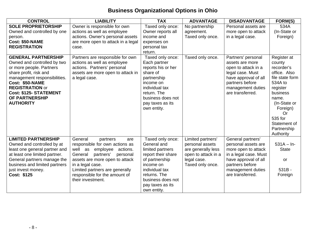# **Business Organizational Options in Ohio**

| <b>CONTROL</b>                                              | <b>LIABILITY</b>                                  | <b>TAX</b>                      | <b>ADVANTAGE</b>                     | <b>DISADVANTAGE</b>                        | FORM(S)         |
|-------------------------------------------------------------|---------------------------------------------------|---------------------------------|--------------------------------------|--------------------------------------------|-----------------|
| <b>SOLE PROPRIETORSHIP</b>                                  | Owner is responsible for own                      | Taxed only once:                | No partnership                       | Personal assets are                        | 534A            |
| Owned and controlled by one                                 | actions as well as employee                       | Owner reports all               | agreement.                           | more open to attack                        | (In-State or    |
| person.                                                     | actions. Owner's personal assets                  | income and                      | Taxed only once.                     | in a legal case.                           | Foreign)        |
| Cost: \$50-NAME                                             | are more open to attack in a legal                | expenses on                     |                                      |                                            |                 |
| <b>REGISTRATION</b>                                         | case.                                             | personal tax                    |                                      |                                            |                 |
|                                                             |                                                   | return.                         |                                      |                                            |                 |
| <b>GENERAL PARTNERSHIP</b>                                  | Partners are responsible for own                  | Taxed only once:                | Taxed only once.                     | Partners' personal                         | Register at     |
| Owned and controlled by two                                 | actions as well as employee                       | Each partner                    |                                      | assets are more                            | county          |
| or more people. Partners                                    | actions. Partners' personal                       | reports his or her              |                                      | open to attack in a                        | recorder's      |
| share profit, risk and                                      | assets are more open to attack in                 | share of                        |                                      | legal case. Must                           | office. Also    |
| management responsibilities.                                | a legal case.                                     | partnership                     |                                      | have approval of all                       | file state form |
| Cost: \$50-NAME                                             |                                                   | income on                       |                                      | partners before                            | 534A to         |
| <b>REGISTRATION or</b>                                      |                                                   | individual tax                  |                                      | management duties                          | register        |
| <b>Cost: \$125- STATEMENT</b>                               |                                                   | return. The                     |                                      | are transferred.                           | business        |
| OF PARTNERSHIP                                              |                                                   | business does not               |                                      |                                            | name.           |
| <b>AUTHORITY</b>                                            |                                                   | pay taxes as its                |                                      |                                            | (In-State or    |
|                                                             |                                                   | own entity.                     |                                      |                                            | Foreign)        |
|                                                             |                                                   |                                 |                                      |                                            | <b>Or</b>       |
|                                                             |                                                   |                                 |                                      |                                            | 535 for         |
|                                                             |                                                   |                                 |                                      |                                            | Statement of    |
|                                                             |                                                   |                                 |                                      |                                            | Partnership     |
| <b>LIMITED PARTNERSHIP</b>                                  | General                                           |                                 |                                      |                                            | Authority       |
|                                                             | partners<br>are<br>responsible for own actions as | Taxed only once:<br>General and | Limited partners'<br>personal assets | General partners'                          | $531A - In-$    |
| Owned and controlled by at<br>least one general partner and | well as<br>actions.<br>employee                   | limited partners                | are generally less                   | personal assets are<br>more open to attack | <b>State</b>    |
| at least one limited partner.                               | partners'<br>General<br>personal                  | report their share              | open to attack in a                  | in a legal case. Must                      |                 |
| General partners manage the                                 | assets are more open to attack                    | of partnership                  | legal case.                          | have approval of all                       | or              |
| business and limited partners                               | in a legal case.                                  | income on                       | Taxed only once.                     | partners before                            |                 |
| just invest money.                                          | Limited partners are generally                    | individual tax                  |                                      | management duties                          | $531B -$        |
| Cost: \$125                                                 | responsible for the amount of                     | returns. The                    |                                      | are transferred.                           | Foreign         |
|                                                             | their investment.                                 | business does not               |                                      |                                            |                 |
|                                                             |                                                   | pay taxes as its                |                                      |                                            |                 |
|                                                             |                                                   | own entity.                     |                                      |                                            |                 |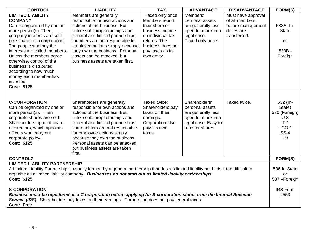| <b>CONTROL</b>                                                                                                                                                                                                                                                                                                                                                                                  | <b>LIABILITY</b>                                                                                                                                                                                                                                                                                                                                           | <b>TAX</b>                                                                                                                                                           | <b>ADVANTAGE</b>                                                                                                         | <b>DISADVANTAGE</b>                                                                     | FORM(S)                                                                                   |
|-------------------------------------------------------------------------------------------------------------------------------------------------------------------------------------------------------------------------------------------------------------------------------------------------------------------------------------------------------------------------------------------------|------------------------------------------------------------------------------------------------------------------------------------------------------------------------------------------------------------------------------------------------------------------------------------------------------------------------------------------------------------|----------------------------------------------------------------------------------------------------------------------------------------------------------------------|--------------------------------------------------------------------------------------------------------------------------|-----------------------------------------------------------------------------------------|-------------------------------------------------------------------------------------------|
| <b>LIMITED LIABILITY</b><br><b>COMPANY</b><br>Can be organized by one or<br>more person(s). Then,<br>company interests are sold<br>(like shares in a corporation).<br>The people who buy the<br>interests are called members.<br>Unless the members agree<br>otherwise, control of the<br>business is distributed<br>according to how much<br>money each member has<br>invested.<br>Cost: \$125 | Members are generally<br>responsible for own actions and<br>actions of the business. But,<br>unlike sole proprietorships and<br>general and limited partnerships,<br>members are not responsible for<br>employee actions simply because<br>they own the business. Personal<br>assets can be attacked, but<br>business assets are taken first.              | Taxed only once:<br>Members report<br>their share of<br>business income<br>on individual tax<br>returns. The<br>business does not<br>pay taxes as its<br>own entity. | Members'<br>personal assets<br>are generally less<br>open to attack in a<br>legal case.<br>Taxed only once.              | Must have approval<br>of all members<br>before management<br>duties are<br>transferred. | 533A - In-<br><b>State</b><br>or<br>533B-<br>Foreign                                      |
| <b>C-CORPORATION</b><br>Can be organized by one or<br>more person(s). Then<br>corporate shares are sold.<br>Shareholders appoint board<br>of directors, which appoints<br>officers who carry out<br>corporate policy.<br>Cost: \$125                                                                                                                                                            | Shareholders are generally<br>responsible for own actions and<br>actions of the business. But,<br>unlike sole proprietorships and<br>general and limited partnerships,<br>shareholders are not responsible<br>for employee actions simply<br>because they own the business.<br>Personal assets can be attacked,<br>but business assets are taken<br>first. | Taxed twice:<br>Shareholders pay<br>taxes on their<br>earnings.<br>Corporation also<br>pays its own<br>taxes.                                                        | Shareholders'<br>personal assets<br>are generally less<br>open to attack in a<br>legal case. Easy to<br>transfer shares. | Taxed twice.                                                                            | 532 (In-<br>State)<br>530 (Foreign)<br>$U-3$<br>$IT-1$<br>$UCO-1$<br><b>SS-4</b><br>$I-9$ |
| <b>CONTROL7</b>                                                                                                                                                                                                                                                                                                                                                                                 |                                                                                                                                                                                                                                                                                                                                                            |                                                                                                                                                                      |                                                                                                                          |                                                                                         | FORM(S)                                                                                   |
| <b>LIMITED LIABILITY PARTNERSHIP</b><br>A Limited Liability Partnership is usually formed by a general partnership that desires limited liability but finds it too difficult to<br>organize as a limited liability company. Businesses do not start out as limited liability partnerships.<br>Cost: \$125                                                                                       |                                                                                                                                                                                                                                                                                                                                                            |                                                                                                                                                                      | 536-In-State<br>or<br>537-Foreign                                                                                        |                                                                                         |                                                                                           |
| <b>S-CORPORATION</b><br><b>Cost: Free</b>                                                                                                                                                                                                                                                                                                                                                       | Business must be registered as a C-corporation before applying for S-corporation status from the Internal Revenue<br>Service (IRS). Shareholders pay taxes on their earnings. Corporation does not pay federal taxes.                                                                                                                                      |                                                                                                                                                                      |                                                                                                                          |                                                                                         | <b>IRS Form</b><br>2553                                                                   |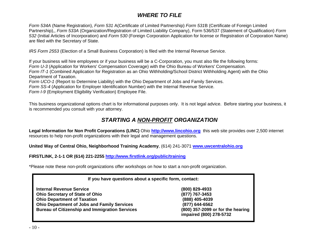# *WHERE TO FILE*

*Form 534A* (Name Registration), *Form 531* A(Certificate of Limited Partnership) *Form 531*B (Certificate of Foreign Limited Partnership),, *Form 533A* (Organization/Registration of Limited Liability Company), Form 536/537 (Statement of Qualification) *Form 532* (Initial Articles of Incorporation) and *Form 530* (Foreign Corporation Application for license or Registration of Corporation Name) are filed with the Secretary of State.

*IRS Form 2553* (Election of a Small Business Corporation) is filed with the Internal Revenue Service.

If your business will hire employees or if your business will be a C-Corporation, you must also file the following forms: *Form U-3* (Application for Workers' Compensation Coverage) with the Ohio Bureau of Workers' Compensation. *Form IT-1* (Combined Application for Registration as an Ohio Withholding/School District Withholding Agent) with the Ohio Department of Taxation.

*Form UCO-1* (Report to Determine Liability) with the Ohio Department of Jobs and Family Services.

*Form SS-4* (Application for Employer Identification Number) with the Internal Revenue Service.

*Form I-9* (Employment Eligibility Verification) Employee File.

This business organizational options chart is for informational purposes only. It is not legal advice. Before starting your business, it is recommended you consult with your attorney.

# *STARTING A NON-PROFIT ORGANIZATION*

**Legal Information for Non Profit Corporations (LINC)** Ohio **[http://www.lincohio.org](http://www.lincohio.org/)** this web site provides over 2,500 internet resources to help non-profit organizations with their legal and management questions.

**United Way of Central Ohio, Neighborhood Training Academy**, (614) 241-3071 **[www.uwcentralohio.org](http://www.uwcentralohio.org/)**

**FIRSTLINK, 2-1-1 OR (614) 221-2255<http://www.firstlink.org/public/training>**

\*Please note these non-profit organizations offer workshops on how to start a non-profit organization.

# **If you have questions about a specific form, contact:**

**Internal Revenue Service (800) 829-4933 Ohio Secretary of State of Ohio (877) 767-3453 Ohio Department of Taxation (888) 405-4039 Ohio Department of Jobs and Family Services (877) 644-6562 Bureau of Citizenship and Immigration Services (800) 357-2099 or for the hearing** 

**impaired (800) 278-5732**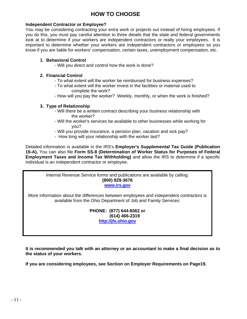# **HOW TO CHOOSE**

## **Independent Contractor or Employee?**

You may be considering contracting your extra work or projects out instead of hiring employees. If you do this, you must pay careful attention to three details that the state and federal governments look at to determine if your workers are independent contractors or really your employees. It is important to determine whether your workers are independent contractors or employees so you know if you are liable for workers' compensation, certain taxes, unemployment compensation, etc.

## **1. Behavioral Control**

- Will you direct and control how the work is done?

# **2. Financial Control**

- To what extent will the worker be reimbursed for business expenses?
- To what extent will the worker invest in the facilities or material used to complete the work?
- How will you pay the worker? Weekly, monthly, or when the work is finished?

# **3. Type of Relationship**

- Will there be a written contract describing your business relationship with the worker?
- Will the worker's services be available to other businesses while working for you?
- Will you provide insurance, a pension plan, vacation and sick pay?
- How long will your relationship with the worker last?

Detailed information is available in the IRS's **Employer's Supplemental Tax Guide (Publication 15-A).** You can also file **Form SS-8 (Determination of Worker Status for Purposes of Federal Employment Taxes and Income Tax Withholding)** and allow the IRS to determine if a specific individual is an independent contractor or employee.

> Internal Revenue Service forms and publications are available by calling: **(800) 829-3676**

## **[www.irs.gov](http://www.irs.gov/)**

More information about the differences between employees and independent contractors is available from the Ohio Department of Job and Family Services:

> **PHONE: (877) 644-6562 or (614) 466-2319 [http://jfs.ohio.gov](http://jfs.ohio.gov/)**

**It is recommended you talk with an attorney or an accountant to make a final decision as to the status of your workers.** 

**If you are considering employees, see Section on Employer Requirements on Page19.**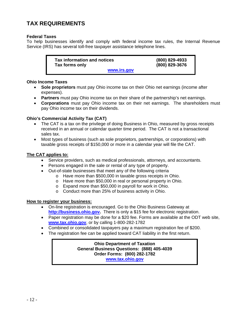# **TAX REQUIREMENTS**

# **Federal Taxes**

To help businesses identify and comply with federal income tax rules, the Internal Revenue Service (IRS) has several toll-free taxpayer assistance telephone lines.

> **Tax information and notices (800) 829-4933 Tax forms only (800) 829-3676 [www.irs.gov](http://www.irs.gov/)**

## **Ohio Income Taxes**

- **Sole proprietors** must pay Ohio income tax on their Ohio net earnings (income after expenses).
- **Partners** must pay Ohio income tax on their share of the partnership's net earnings.
- **Corporations** must pay Ohio income tax on their net earnings. The shareholders must pay Ohio income tax on their dividends.

# **Ohio's Commercial Activity Tax (CAT)**

- The CAT is a tax on the privilege of doing Business in Ohio, measured by gross receipts received in an annual or calendar quarter time period. The CAT is not a transactional sales tax.
- Most types of business (such as sole proprietors, partnerships, or corporations) with taxable gross receipts of \$150,000 or more in a calendar year will file the CAT.

# **The CAT applies to:**

- Service providers, such as medical professionals, attorneys, and accountants.
- Persons engaged in the sale or rental of any type of property.
- Out-of-state businesses that meet any of the following criteria
	- o Have more than \$500,000 in taxable gross receipts in Ohio.
		- o Have more than \$50,000 in real or personal property in Ohio.
		- o Expand more than \$50,000 in payroll for work in Ohio.
		- o Conduct more than 25% of business activity in Ohio.

## **How to register your business:**

- On-line registration is encouraged. Go to the Ohio Business Gateway at **[http://business.ohio.gov](http://business.ohio.gov/).** There is only a \$15 fee for electronic registration.
- Paper registration may be done for a \$20 fee. Forms are available at the ODT web site, **[www.tax.ohio.gov](http://www.tax.ohio.gov/)**, or by calling 1-800-282-1782
- Combined or consolidated taxpayers pay a maximum registration fee of \$200.
- The registration fee can be applied toward CAT liability in the first return.

**Ohio Department of Taxation General Business Questions: (888) 405-4039 Order Forms: (800) 282-1782 [www.tax.ohio.gov](http://www.tax.ohio.gov/)**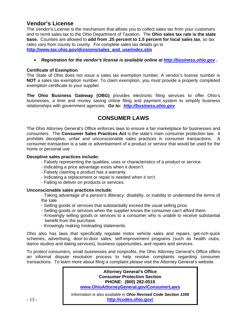# **Vendor's License**

The Vendor's License is the mechanism that allows you to collect sales tax from your customers and to remit sales tax to the Ohio Department of Taxation. The **Ohio sales tax rate is the state base.** Counties are allowed to **add from .25 percent to 1.5 percent for local sales tax**, so tax rates vary from county to county. For complete sales tax details go to **[http://www.tax.ohio.gov/divisions/sales\\_and\\_use/index.stm](http://www.tax.ohio.gov/divisions/sales_and_use/index.stm)**

#### • *Registration for the vendor's license is available online at [http://business.ohio.gov](http://business.ohio.gov/) .*

#### **Certificate of Exemption**

The State of Ohio does not issue a sales tax exemption number. A vendor's license number is **NOT** a sales tax exemption number. To claim exemption, you must provide a properly completed exemption certificate to your supplier.

**The Ohio Business Gateway (OBG)** provides electronic filing services to offer Ohio's businesses, a time and money saving online filing and payment system to simplify business relationships with government agencies. *Go to: [http://business.ohio.gov](http://business.ohio.gov/)* 

# **CONSUMER LAWS**

The Ohio Attorney General's Office enforces laws to ensure a fair marketplace for businesses and consumers. The **Consumer Sales Practices Act** is the state's main consumer protection law. It prohibits deceptive, unfair and unconscionable sales practices in consumer transactions. A consumer transaction is a sale or advertisement of a product or service that would be used for the home or personal use.

#### **Deceptive sales practices include:**

- Falsely representing the qualities, uses or characteristics of a product or service.
- Indicating a price advantage exists when it doesn't.
- Falsely claiming a product has a warranty.
- Indicating a replacement or repair is needed when it isn't.
- Failing to deliver on products or services.

#### **Unconscionable sales practices include:**

- Taking advantage of a person's illiteracy, disability, or inability to understand the terms of the sale

- Selling goods or services that substantially exceed the usual selling price.
- Selling goods or services when the supplier knows the consumer can't afford them.
- Knowingly selling goods or services to a consumer who is unable to receive substantial benefit from the purchase.
- Knowingly making misleading statements.

Ohio also has laws that specifically regulate motor vehicle sales and repairs, get-rich-quick schemes, advertising, door-to-door sales, self-improvement programs (such as health clubs, dance studios and dating services), business opportunities, and repairs and services.

To protect consumers, small businesses and nonprofits, the Ohio Attorney General's Office offers an informal dispute resolution process to help resolve complaints regarding consumer transactions. To learn more about filing a complaint please visit the Attorney General's website.

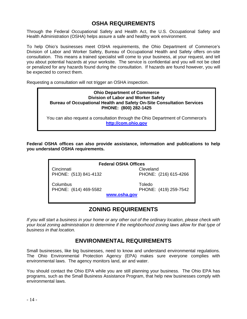# **OSHA REQUIREMENTS**

Through the Federal Occupational Safety and Health Act, the U.S. Occupational Safety and Health Administration (OSHA) helps assure a safe and healthy work environment.

To help Ohio's businesses meet OSHA requirements, the Ohio Department of Commerce's Division of Labor and Worker Safety, Bureau of Occupational Health and Safety offers on-site consultation. This means a trained specialist will come to your business, at your request, and tell you about potential hazards at your worksite. The service is confidential and you will not be cited or penalized for any hazards found during the consultation. If hazards are found however, you will be expected to correct them.

Requesting a consultation will not trigger an OSHA inspection.

# **Ohio Department of Commerce Division of Labor and Worker Safety Bureau of Occupational Health and Safety On-Site Consultation Services PHONE: (800) 282-1425**

You can also request a consultation through the Ohio Department of Commerce's **[http://com.ohio.gov](http://com.ohio.gov/)** 

**Federal OSHA offices can also provide assistance, information and publications to help you understand OSHA requirements.** 

| <b>Federal OSHA Offices</b> |                       |  |
|-----------------------------|-----------------------|--|
| Cincinnati                  | Cleveland             |  |
| PHONE: (513) 841-4132       | PHONE: (216) 615-4266 |  |
| Columbus                    | Toledo                |  |
| PHONE: (614) 469-5582       | PHONE: (419) 259-7542 |  |
|                             | www.osha.gov          |  |
|                             |                       |  |

# **ZONING REQUIREMENTS**

*If you will start a business in your home or any other out of the ordinary location, please check with your local zoning administration to determine if the neighborhood zoning laws allow for that type of business in that location.* 

# **ENVIRONMENTAL REQUIREMENTS**

Small businesses, like big businesses, need to know and understand environmental regulations. The Ohio Environmental Protection Agency (EPA) makes sure everyone complies with environmental laws. The agency monitors land, air and water.

You should contact the Ohio EPA while you are still planning your business. The Ohio EPA has programs, such as the Small Business Assistance Program, that help new businesses comply with environmental laws.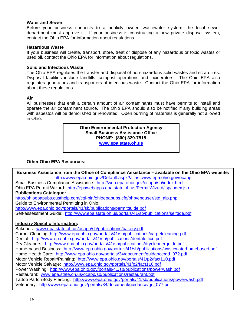#### **Water and Sewer**

Before your business connects to a publicly owned wastewater system, the local sewer department must approve it. If your business is constructing a new private disposal system, contact the Ohio EPA for information about regulations.

#### **Hazardous Waste**

If your business will create, transport, store, treat or dispose of any hazardous or toxic wastes or used oil, contact the Ohio EPA for information about regulations.

#### **Solid and Infectious Waste**

The Ohio EPA regulates the transfer and disposal of non-hazardous solid wastes and scrap tires. Disposal facilities include landfills, compost operations and incinerators. The Ohio EPA also regulates generators and transporters of infectious waste. Contact the Ohio EPA for information about these regulations

#### **Air**

All businesses that emit a certain amount of air contaminants must have permits to install and operate the air contaminant source. The Ohio EPA should also be notified if any building areas with asbestos will be demolished or renovated. Open burning of materials is generally not allowed in Ohio.

> **Ohio Environmental Protection Agency Small Business Assistance Office PHONE: (800) 329-7518 [www.epa.state.oh.us](http://www.epa.state.oh.us/)**

## **Other Ohio EPA Resources:**

**Business Assistance from the Office of Compliance Assistance – available on the Ohio EPA website:** <http://www.epa.ohio.gov/Default.aspx?alias=www.epa.ohio.gov/ocapp>

Small Business Compliance Assistance: <http://web.epa.ohio.gov/ocapp/sb/index.html> Ohio EPA Permit Wizard: <http://epawebapps.epa.state.oh.us/PermitWizard/jsp/index.jsp> **Publications Catalogue:**  [http://ohioepapubs.custhelp.com/cgi-bin/ohioepapubs.cfg/php/enduser/std\\_alp.php](http://ohioepapubs.custhelp.com/cgi-bin/ohioepapubs.cfg/php/enduser/std_alp.php)  Guide to Environmental Permitting in Ohio:

<http://www.epa.ohio.gov/portals/41/sb/publications/permitguide.pdf>

Self-assessment Guide: <http://www.epa.state.oh.us/portals/41/sb/publications/selfgde.pdf>

## **Industry Specific Information:**

Bakeries: [www.epa.state.oh.us/ocapp/sb/publications/bakery.pdf](http://www.epa.state.oh.us/ocapp/sb/publications/bakery.pdf) Carpet Cleaning: <http://www.epa.ohio.gov/portals/41/sb/publications/carpetcleaning.pdf> Dental: <http://www.epa.ohio.gov/portals/41/sb/publications/dentaloffice.pdf> Dry Cleaners: <http://www.epa.ohio.gov/portals/41/sb/publications/drycleanerguide.pdf> Home-based Business: <http://www.epa.ohio.gov/portals/41/sb/publications/wastewaterhomebased.pdf> Home Health Care: [http://www.epa.ohio.gov/portals/34/document/guidance/gd\\_072.pdf](http://www.epa.ohio.gov/portals/34/document/guidance/gd_072.pdf) Motor Vehicle Repair/Painting: <http://www.epa.ohio.gov/portals/41/p2/fact110.pdf> Motor Vehicle Salvage: <http://www.epa.ohio.gov/portals/41/p2/fact110.pdf> Power Washing: <http://www.epa.ohio.gov/portals/41/sb/publications/powerwash.pdf> Restaurant: [www.epa.state.oh.us/ocapp/sb/publications/restaurant.pdf](http://www.epa.state.oh.us/ocapp/sb/publications/restaurant.pdf) Tattoo Parlor/Body Piercing: <http://www.epa.ohio.gov/portals/41/sb/publications/powerwash.pdf> Veterinary: [http://www.epa.ohio.gov/portals/34/document/guidance/gd\\_077.pdf](http://www.epa.ohio.gov/portals/34/document/guidance/gd_077.pdf)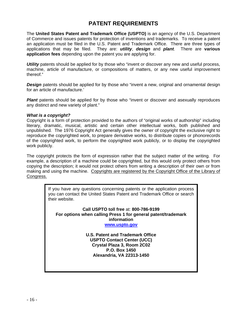# **PATENT REQUIREMENTS**

The **United States Patent and Trademark Office (USPTO)** is an agency of the U.S. Department of Commerce and issues patents for protection of inventions and trademarks. To receive a patent an application must be filed in the U.S. Patent and Trademark Office. There are three types of applications that may be filed. They are: *utility*, *design* and *plant*. There are **various application fees** depending upon the patent you are applying for.

**Utility** patents should be applied for by those who "invent or discover any new and useful process, machine, article of manufacture, or compositions of matters, or any new useful improvement thereof."

**Design** patents should be applied for by those who "invent a new, original and ornamental design for an article of manufacture.'

**Plant** patents should be applied for by those who "invent or discover and asexually reproduces any distinct and new variety of plant."

#### *What is a copyright?*

Copyright is a form of protection provided to the authors of "original works of authorship" including literary, dramatic, musical, artistic and certain other intellectual works, both published and unpublished. The 1976 Copyright Act generally gives the owner of copyright the exclusive right to reproduce the copyrighted work, to prepare derivative works, to distribute copies or phonorecords of the copyrighted work, to perform the copyrighted work publicly, or to display the copyrighted work publicly.

The copyright protects the form of expression rather that the subject matter of the writing. For example, a description of a machine could be copyrighted, but this would only protect others from copying the description; it would not protect others from writing a description of their own or from making and using the machine. Copyrights are registered by the Copyright Office of the Library of Congress.

> If you have any questions concerning patents or the application process you can contact the United States Patent and Trademark Office or search their website.

**Call USPTO toll free** at: **800-786-9199 For options when calling Press 1 for general patent/trademark information [www.uspto.gov](http://www.uspto.gov/)** 

> **U.S. Patent and Trademark Office USPTO Contact Center (UCC) Crystal Plaza 3, Room 2C02 P.O. Box 1450 Alexandria, VA 22313-1450**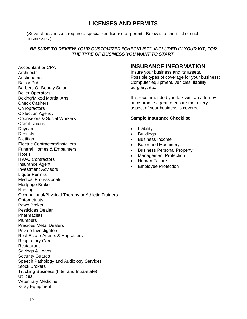# **LICENSES AND PERMITS**

(Several businesses require a specialized license or permit. Below is a short list of such businesses.)

## *BE SURE TO REVIEW YOUR CUSTOMIZED "CHECKLIST", INCLUDED IN YOUR KIT, FOR THE TYPE OF BUSINESS YOU WANT TO START.*

Accountant or CPA **Architects Auctioneers** Bar or Pub Barbers Or Beauty Salon Boiler Operators Boxing/Mixed Martial Arts Check Cashers **Chiropractors** Collection Agency Counselors & Social Workers Credit Unions Daycare **Dentists Dietitian** Electric Contractors/Installers Funeral Homes & Embalmers **Hotels** HVAC Contractors Insurance Agent Investment Advisors Liquor Permits Medical Professionals Mortgage Broker Nursing Occupational/Physical Therapy or Athletic Trainers **Optometrists** Pawn Broker Pesticides Dealer **Pharmacists** Plumbers Precious Metal Dealers Private Investigators Real Estate Agents & Appraisers Respiratory Care Restaurant Savings & Loans Security Guards Speech Pathology and Audiology Services Stock Brokers Trucking Business (Inter and Intra-state) **Utilities** Veterinary Medicine X-ray Equipment

# **INSURANCE INFORMATION**

Insure your business and its assets. Possible types of coverage for your business: Computer equipment, vehicles, liability, burglary, etc.

It is recommended you talk with an attorney or insurance agent to ensure that every aspect of your business is covered.

#### **Sample Insurance Checklist**

- Liability
- **Buildings**
- Business Income
- Boiler and Machinery
- Business Personal Property
- Management Protection
- Human Failure
- Employee Protection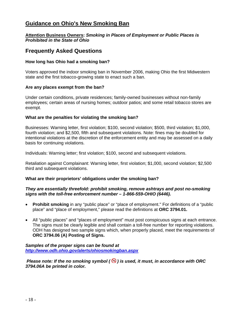# **Guidance on Ohio's New Smoking Ban**

#### **Attention Business Owners:** *Smoking in Places of Employment or Public Places is Prohibited in the State of Ohio*

# **Frequently Asked Questions**

### **How long has Ohio had a smoking ban?**

Voters approved the indoor smoking ban in November 2006, making Ohio the first Midwestern state and the first tobacco-growing state to enact such a ban.

#### **Are any places exempt from the ban?**

Under certain conditions, private residences; family-owned businesses without non-family employees; certain areas of nursing homes; outdoor patios; and some retail tobacco stores are exempt.

#### **What are the penalties for violating the smoking ban?**

Businesses: Warning letter, first violation; \$100, second violation; \$500, third violation; \$1,000, fourth violation; and \$2,500, fifth and subsequent violations. Note: fines may be doubled for intentional violations at the discretion of the enforcement entity and may be assessed on a daily basis for continuing violations.

Individuals: Warning letter; first violation; \$100, second and subsequent violations.

Retaliation against Complainant: Warning letter, first violation; \$1,000, second violation; \$2,500 third and subsequent violations.

#### **What are their proprietors' obligations under the smoking ban?**

#### *They are essentially threefold: prohibit smoking, remove ashtrays and post no-smoking signs with the toll-free enforcement number – 1-866-559-OHIO (6446).*

- **Prohibit smoking** in any "public place" or "place of employment." For definitions of a "public place" and "place of employment," please read the definitions at **ORC 3794.01.**
- All "public places" and "places of employment" must post conspicuous signs at each entrance. The signs must be clearly legible and shall contain a toll-free number for reporting violations. ODH has designed two sample signs which, when properly placed, meet the requirements of **[ORC 3794.06 \(A\) Posting of Signs](http://www.odh.ohio.gov/ASSETS/ACB77174F415483B89664F55F6C2F22C/ORC3794.06A.pdf).**

#### *Samples of the proper signs can be found at <http://www.odh.ohio.gov/alerts/ohiosmokingban.aspx>*

*Please note: If the no smoking symbol (* $\bigcirc$ *) is used, it must, in accordance with ORC 3794.06A be printed in color.*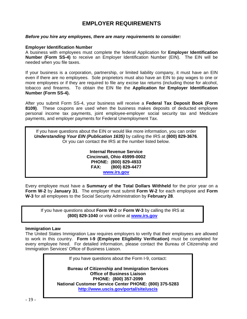# **EMPLOYER REQUIREMENTS**

#### *Before you hire any employees, there are many requirements to consider:*

#### **Employer Identification Number**

A business with employees must complete the federal Application for **Employer Identification Number (Form SS-4)** to receive an Employer Identification Number (EIN). The EIN will be needed when you file taxes.

If your business is a corporation, partnership, or limited liability company, it must have an EIN even if there are no employees. Sole proprietors must also have an EIN to pay wages to one or more employees or if they are required to file any excise tax returns (including those for alcohol, tobacco and firearms. To obtain the EIN file the **Application for Employer Identification Number (Form SS-4).** 

After you submit Form SS-4, your business will receive a **Federal Tax Deposit Book (Form 8109)**. These coupons are used when the business makes deposits of deducted employee personal income tax payments, joint employee-employer social security tax and Medicare payments, and employer payments for Federal Unemployment Tax.

If you have questions about the EIN or would like more information, you can order *Understanding Your EIN (Publication 1635)* by calling the IRS at **(800) 829-3676**. Or you can contact the IRS at the number listed below.

> **Internal Revenue Service Cincinnati, Ohio 45999-0002 PHONE: (800) 829-4933 FAX: (800) 829-4477 [www.irs.gov](http://www.irs.gov/)**

Every employee must have a **Summary of the Total Dollars Withheld** for the prior year on a **Form W-2** by **January 31**. The employer must submit **Form W-2** for each employee and **Form W-3** for all employees to the Social Security Administration by **February 28**.

If you have questions about **Form W-2** or **Form W-3** by calling the IRS at **(800) 829-1040** or visit online at **[www.irs.gov](http://www.irs.gov/)**

#### **Immigration Law**

The United States Immigration Law requires employers to verify that their employees are allowed to work in this country. **Form I-9 (Employee Eligibility Verification)** must be completed for every employee hired. For detailed information, please contact the Bureau of Citizenship and Immigration Services' Office of Business Liaison.

If you have questions about the Form I-9, contact:

**Bureau of Citizenship and Immigration Services Office of Business Liaison PHONE: (800) 357-2099 National Customer Service Center PHONE: (800) 375-5283 <http://www.uscis.gov/portal/site/uscis>**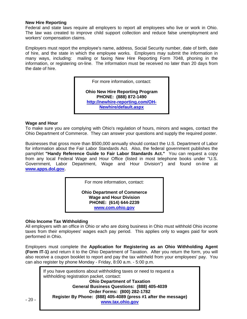#### **New Hire Reporting**

Federal and state laws require all employers to report all employees who live or work in Ohio. The law was created to improve child support collection and reduce false unemployment and workers' compensation claims.

Employers must report the employee's name, address, Social Security number, date of birth, date of hire, and the state in which the employee works. Employers may submit the information in many ways, including: mailing or faxing New Hire Reporting Form 7048, phoning in the information, or registering on-line. The information must be received no later than 20 days from the date of hire.

For more information, contact:

**Ohio New Hire Reporting Program PHONE: (888) 872-1490 [http://newhire-reporting.com/OH-](http://newhire-reporting.com/OH-Newhire/default.aspx)[Newhire/default.aspx](http://newhire-reporting.com/OH-Newhire/default.aspx)**

#### **Wage and Hour**

To make sure you are complying with Ohio's regulation of hours, minors and wages, contact the Ohio Department of Commerce. They can answer your questions and supply the required poster.

Businesses that gross more than \$500,000 annually should contact the U.S. Department of Labor for information about the Fair Labor Standards Act. Also, the federal government publishes the pamphlet **"Handy Reference Guide to Fair Labor Standards Act."** You can request a copy from any local Federal Wage and Hour Office (listed in most telephone books under "U.S. Government, Labor Department, Wage and Hour Division") and found on-line at **[www.apps.dol.gov.](http://www.apps.dol.gov/)** 

For more information, contact:

**Ohio Department of Commerce Wage and Hour Division PHONE: (614) 644-2239 [www.com.ohio.gov](http://www.com.ohio.gov/)**

## **Ohio Income Tax Withholding**

All employers with an office in Ohio or who are doing business in Ohio must withhold Ohio income taxes from their employees' wages each pay period. This applies only to wages paid for work performed in Ohio.

Employers must complete the **Application for Registering as an Ohio Withholding Agent (Form IT-1)** and return it to the Ohio Department of Taxation. After you return the form, you will also receive a coupon booklet to report and pay the tax withheld from your employees' pay. You can also register by phone Monday - Friday, 8:00 a.m. - 5:00 p.m.

If you have questions about withholding taxes or need to request a withholding registration packet, contact: **Ohio Department of Taxation General Business Questions: (888) 405-4039 Order Forms: (800) 282-1782 Register By Phone: (888) 405-4089 (press #1 after the message) [www.tax.ohio.gov](http://www.tax.ohio.gov/)**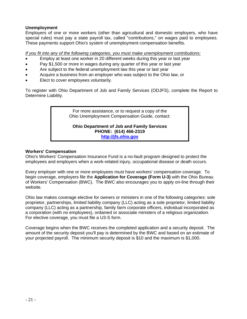# **Unemployment**

Employers of one or more workers (other than agricultural and domestic employers, who have special rules) must pay a state payroll tax, called "contributions," on wages paid to employees. These payments support Ohio's system of unemployment compensation benefits.

*If you fit into any of the following categories, you must make unemployment contributions:*

- Employ at least one worker in 20 different weeks during this year or last year
- Pay \$1,500 or more in wages during any quarter of this year or last year
- Are subject to the federal unemployment law this year or last year
- Acquire a business from an employer who was subject to the Ohio law, or
- Elect to cover employees voluntarily.

To register with Ohio Department of Job and Family Services (ODJFS), complete the Report to Determine Liability.

> For more assistance, or to request a copy of the Ohio Unemployment Compensation Guide, contact:

**Ohio Department of Job and Family Services PHONE: (614) 466-2319 [http://jfs.ohio.gov](http://jfs.ohio.gov/)**

#### **Workers' Compensation**

Ohio's Workers' Compensation Insurance Fund is a no-fault program designed to protect the employees and employers when a work-related injury, occupational disease or death occurs.

Every employer with one or more employees must have workers' compensation coverage. To begin coverage, employers file the **Application for Coverage (Form U-3)** with the Ohio Bureau of Workers' Compensation (BWC). The BWC also encourages you to apply on-line through their website.

Ohio law makes coverage elective for owners or ministers in one of the following categories: sole proprietor, partnerships, limited liability company (LLC) acting as a sole proprietor, limited liability company (LLC) acting as a partnership, family farm corporate officers, individual incorporated as a corporation (with no employees), ordained or associate ministers of a religious organization. For elective coverage, you must file a U3-S form.

Coverage begins when the BWC receives the completed application and a security deposit. The amount of the security deposit you'll pay is determined by the BWC and based on an estimate of your projected payroll. The minimum security deposit is \$10 and the maximum is \$1,000.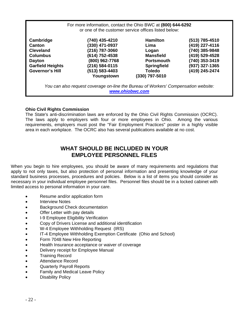|                                                                                                                                  | For more information, contact the Ohio BWC at (800) 644-6292                                                                             | or one of the customer service offices listed below:                                                                               |                                                                                                                            |
|----------------------------------------------------------------------------------------------------------------------------------|------------------------------------------------------------------------------------------------------------------------------------------|------------------------------------------------------------------------------------------------------------------------------------|----------------------------------------------------------------------------------------------------------------------------|
| Cambridge<br>Canton<br><b>Cleveland</b><br><b>Columbus</b><br><b>Dayton</b><br><b>Garfield Heights</b><br><b>Governor's Hill</b> | (740) 435-4210<br>(330) 471-0937<br>(216) 787-3060<br>(614) 752-4538<br>(800) 962-7768<br>(216) 584-0115<br>(513) 583-4403<br>Youngstown | <b>Hamilton</b><br>Lima<br>Logan<br><b>Mansfield</b><br><b>Portsmouth</b><br><b>Springfield</b><br><b>Toledo</b><br>(330) 797-5010 | (513) 785-4510<br>(419) 227-4116<br>(740) 385-9848<br>(419) 529-4528<br>(740) 353-3419<br>(937) 327-1365<br>(419) 245-2474 |
|                                                                                                                                  | You can also request coverage on-line the Bureau of Workers' Compensation website:                                                       | www.ohiobwc.com                                                                                                                    |                                                                                                                            |

# **Ohio Civil Rights Commission**

The State's anti-discrimination laws are enforced by the Ohio Civil Rights Commission (OCRC). The laws apply to employers with four or more employees in Ohio. Among the various requirements, employers must post the "Fair Employment Practices" poster in a highly visible area in each workplace. The OCRC also has several publications available at no cost.

# **WHAT SHOULD BE INCLUDED IN YOUR EMPLOYEE PERSONNEL FILES**

When you begin to hire employees, you should be aware of many requirements and regulations that apply to not only taxes, but also protection of personal information and presenting knowledge of your standard business processes, procedures and policies. Below is a list of items you should consider as necessary in your individual employee personnel files. Personnel files should be in a locked cabinet with limited access to personal information in your care.

- Resume and/or application form
- **Interview Notes**
- Background Check documentation
- Offer Letter with pay details
- I-9 Employee Eligibility Verification
- Copy of Drivers License and additional identification
- W-4 Employee Withholding Request (IRS)
- IT-4 Employee Withholding Exemption Certificate (Ohio and School)
- Form 7048 New Hire Reporting
- Health Insurance acceptance or waiver of coverage
- Delivery receipt for Employee Manual
- Training Record
- Attendance Record
- Quarterly Payroll Reports
- Family and Medical Leave Policy
- **Disability Policy**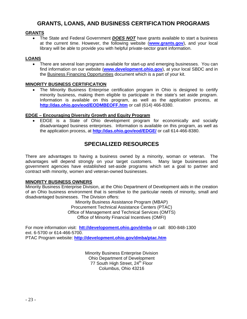# **GRANTS, LOANS, AND BUSINESS CERTIFICATION PROGRAMS**

## **GRANTS**

• The State and Federal Government *DOES NOT* have grants available to start a business at the current time. However, the following website (**[www.grants.gov](http://www.grants.gov/)**), and your local library will be able to provide you with helpful private-sector grant information.

## **LOANS**

• There are several loan programs available for start-up and emerging businesses. You can find information on our website (**[www.development.ohio.gov](http://www.development.ohio.gov/)**), at your local SBDC and in the Business Financing Opportunities document which is a part of your kit.

## **MINORITY BUSINESS CERTIFICATION**

The Minority Business Enterprise certification program in Ohio is designed to certify minority business, making them eligible to participate in the state's set aside program. Information is available on this program, as well as the application process, at **<http://das.ohio.gov/eod/EODMBEOFF.htm>** or call (614) 466-8380.

#### **EDGE – Encouraging Diversity Growth and Equity Program**

• EDGE is a State of Ohio development program for economically and socially disadvantaged business enterprises. Information is available on this program, as well as the application process, at **<http://das.ohio.gov/eod/EDGE/>** or call 614-466-8380.

# **SPECIALIZED RESOURCES**

There are advantages to having a business owned by a minority, woman or veteran. The advantages will depend strongly on your target customers. Many large businesses and government agencies have established set-aside programs which set a goal to partner and contract with minority, women and veteran-owned businesses.

#### **MINORITY BUSINESS OWNERS**

Minority Business Enterprise Division, at the Ohio Department of Development aids in the creation of an Ohio business environment that is sensitive to the particular needs of minority, small and disadvantaged businesses. The Division offers:

> Minority Business Assistance Program (MBAP) Procurement Technical Assistance Centers (PTAC) Office of Management and Technical Services (OMTS) Office of Minority Financial Incentives (OMFI)

For more information visit: **[htt://developoment.ohio.gov/dmba](http://www.developoment.ohio.gov/dmba)** or call: 800-848-1300 ext. 6-5700 or 614-466-5700. PTAC Program website: **<http://development.ohio.gov/dmba/ptac.htm>**

> Minority Business Enterprise Division Ohio Department of Development 77 South High Street, 24<sup>th</sup> Floor Columbus, Ohio 43216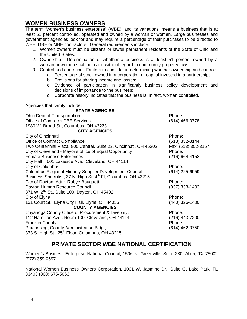# - 24 -

# **WOMEN BUSINESS OWNERS**

The term "women's business enterprise" (WBE), and its variations, means a business that is at least 51 percent controlled, operated and owned by a woman or women. Large businesses and government agencies look for and may require a percentage of their purchases to be directed to WBE, DBE or MBE contractors. General requirements include:

- 1. Women owners must be citizens or lawful permanent residents of the State of Ohio and the United States.
- 2. Ownership. Determination of whether a business is at least 51 percent owned by a woman or women shall be made without regard to community property laws.
- 3. Control and operation. Factors to consider in determining whether ownership and control:
	- a. Percentage of stock owned in a corporation or capital invested in a partnership;
	- b. Provisions for sharing income and losses;
	- c. Evidence of participation in significantly business policy development and decisions of importance to the business;
	- d. Corporate history indicates that the business is, in fact, woman controlled.

Agencies that certify include:

#### **STATE AGENCIES**

| Ohio Dept of Transportation                                       | Phone:                        |
|-------------------------------------------------------------------|-------------------------------|
| <b>Office of Contracts DBE Services</b>                           | $(614)$ 466-3778              |
| 1980 W. Broad St., Columbus, OH 43223                             |                               |
| <b>CITY AGENCIES</b>                                              |                               |
| City of Cincinnati                                                | Phone:                        |
| Office of Contract Compliance                                     | $(513)$ 352-3144              |
|                                                                   |                               |
| Two Centennial Plaza, 805 Central, Suite 22, Cincinnati, OH 45202 | Fax: (513) 352-3157<br>Phone: |
| City of Cleveland - Mayor's office of Equal Opportunity           |                               |
| <b>Female Business Enterprises</b>                                | (216) 664-4152                |
| City Hall - 601 Lakeside Ave., Cleveland, OH 44114                |                               |
| City of Columbus                                                  | Phone:                        |
| <b>Columbus Regional Minority Supplier Development Council</b>    | (614) 225-6959                |
| Business Specialist, 37 N. High St. 4th Fl, Columbus, OH 43215    |                               |
| City of Dayton, Attn: Rubye Bouquett                              | Phone:                        |
| Dayton Human Resource Council                                     | $(937)$ 333-1403              |
| 371 W. 2 <sup>nd</sup> St., Suite 100, Dayton, OH 45402           |                               |
| City of Elyria                                                    | Phone:                        |
| 131 Court St., Elyria City Hall, Elyria, OH 44035                 | (440) 326-1400                |
| <b>COUNTY AGENCIES</b>                                            |                               |
| Cuyahoga County Office of Procurement & Diversity,                | Phone:                        |
| 112 Hamilton Ave., Room 100, Cleveland, OH 44114                  | $(216)$ 443-7200              |
| <b>Franklin County</b>                                            | Phone:                        |
| Purchasing, County Administration Bldg.,                          | $(614)$ 462-3750              |
| 373 S. High St., 25 <sup>th</sup> Floor, Columbus, OH 43215       |                               |
|                                                                   |                               |

# **PRIVATE SECTOR WBE NATIONAL CERTIFICATION**

Women's Business Enterprise National Council, 1506 N. Greenville, Suite 230, Allen, TX 75002 (972) 359-0697

National Women Business Owners Corporation, 1001 W. Jasmine Dr., Suite G, Lake Park, FL 33403 (800) 675-5066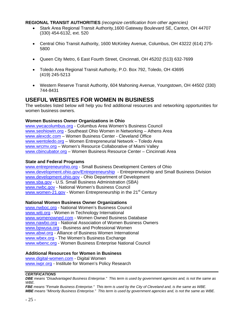**REGIONAL TRANSIT AUTHORITIES** *(recognize certification from other agencies)* 

- Stark Area Regional Transit Authority,1600 Gateway Boulevard SE, Canton, OH 44707 (330) 454-6132, ext. 520
- Central Ohio Transit Authority, 1600 McKinley Avenue, Columbus, OH 43222 (614) 275- 5800
- Queen City Metro, 6 East Fourth Street, Cincinnati, OH 45202 (513) 632-7699
- Toledo Area Regional Transit Authority, P.O. Box 792, Toledo, OH 43695 (419) 245-5213
- Western Reserve Transit Authority, 604 Mahoning Avenue, Youngstown, OH 44502 (330) 744-8431

# **USEFUL WEBSITES FOR WOMEN IN BUSINESS**

The websites listed below will help you find additional resources and networking opportunities for women business owners.

#### **Women Business Owner Organizations in Ohio**

[www.ywcacolumbus.org](http://www.ywcacolumbus.org/) - Columbus Area Women's Business Council [www.seohiowin.org](http://www.seohiowin.org/) - Southeast Ohio Women in Networking – Athens Area [www.alexcdc.com](http://www.alexcdc.com/) – Women Business Center - Cleveland Office [www.wentoledo.org](http://www.wentoledo.org/) – Women Entrepreneurial Network – Toledo Area [www.wrcmv.org](http://www.wrcmv.org/) – Women's Resource Collaborative of Miami Valley [www.cbincubator.org](http://www.cbincubator.org/) – Women Business Resource Center – Cincinnati Area

#### **State and Federal Programs**

[www.entrepreneurohio.org](http://www.entrepreneurohio.org/) - Small Business Development Centers of Ohio [www.development.ohio.gov/Entrepreneurship](http://www.development.ohio.gov/Entrepreneurship) - Entrepreneurship and Small Business Division [www.development.ohio.gov](http://www.development.ohio.gov/) - Ohio Department of Development [www.sba.gov](http://www.sba.gov/) - U.S. Small Business Administration (SBA) [www.nwbc.gov](http://www.nwbc.gov/) - National Women's Business Council [www.women-21.gov](http://www.women-21.gov/) - Women Entrepreneurship in the 21<sup>st</sup> Century

#### **National Women Business Owner Organizations**

[www.nwboc.org](http://www.nwboc.org/) - National Women's Business Council [www.witi.org](http://www.witi.org/) - Women in Technology International [www.womenowned.com](http://www.womenowned.com/) - Women Owned Business Database [www.nawbo.org](http://www.nawbo.org/) - National Association of Women Business Owners [www.bpwusa.org](http://www.bpwusa.org/) - Business and Professional Women [www.abwi.org](http://www.abwi.org/) - Alliance of Business Women International [www.wbex.org](http://www.wbex.org/) - The Women's Business Exchange [www.wbenc.org](http://www.wbenc.org/) - Women Business Enterprise National Council

#### **Additional Resources for Women in Business**

[www.digital-women.com](http://www.digital-women.com/) - Digital Women [www.iwpr.org](http://www.iwpr.org/) - Institute for Women's Policy Research

#### *CERTIFICATIONS*

*DBE means "Disadvantaged Business Enterprise." This term is used by government agencies and, is not the same as WBE.* 

*FBE means "Female Business Enterprise." This term is used by the City of Cleveland and, is the same as WBE. MBE means "Minority Business Enterprise." This term is used by government agencies and, is not the same as WBE.*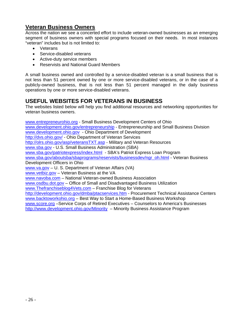# **Veteran Business Owners**

Across the nation we see a concerted effort to include veteran-owned businesses as an emerging segment of business owners with special programs focused on their needs. In most instances "veteran" includes but is not limited to:

- Veterans
- Service-disabled veterans
- Active-duty service members
- Reservists and National Guard Members

A small business owned and controlled by a service-disabled veteran is a small business that is not less than 51 percent owned by one or more service-disabled veterans, or in the case of a publicly-owned business, that is not less than 51 percent managed in the daily business operations by one or more service-disabled veterans.

# **USEFUL WEBSITES FOR VETERANS IN BUSINESS**

The websites listed below will help you find additional resources and networking opportunities for veteran business owners.

[www.entrepreneurohio.org](http://www.entrepreneurohio.org/) - Small Business Development Centers of Ohio [www.development.ohio.gov/entrepreneurship](http://www.development.ohio.gov/entrepreneurship) - Entrepreneurship and Small Business Division [www.development.ohio.gov](http://www.development.ohio.gov/) - Ohio Department of Development <http://dvs.ohio.gov/> - Ohio Department of Veteran Services <http://olrs.ohio.gov/asp/veteransTXT.asp>- Military and Veteran Resources [www.sba.gov](http://www.sba.gov/) - U.S. Small Business Administration (SBA) [www.sba.gov/patriotexpress/index.html](http://www.sba.gov/patriotexpress/index.html) - SBA's Patriot Express Loan Program [www.sba.gov/aboutsba/sbaprograms/reservists/businessdev/ngr\\_oh.html](http://www.sba.gov/aboutsba/sbaprograms/reservists/businessdev/ngr_oh.html) - Veteran Business Development Officers in Ohio [www.va.gov](http://www.va.gov/) – U. S. Department of Veteran Affairs (VA) [www.vetbiz.gov](http://www.vetbiz.gov/) – Veteran Business at the VA [www.navoba.com](http://www.navoba.com/) – National Veteran-owned Business Association [www.osdbu.dot.gov](http://www.osdbu.dot.gov/) – Office of Small and Disadvantaged Business Utilization [www.Thefranchiseblog4Vets.com](http://www.thefranchiseblog4vets.com/) – Franchise Blog for Veterans <http://development.ohio.gov/dmba/ptacservices.htm> - Procurement Technical Assistance Centers [www.backtoworkohio.org](http://www.backtoworkohio.org/) – Best Way to Start a Home-Based Business Workshop [www.score.org](http://www.score.org/) –Service Corps of Retired Executives – Counselors to America's Businesses <http://www.development.ohio.gov/Minority>– Minority Business Assistance Program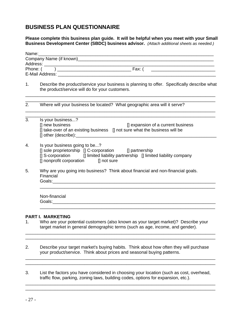# **BUSINESS PLAN QUESTIONNAIRE**

#### **Please complete this business plan guide. It will be helpful when you meet with your Small Business Development Center (SBDC) business advisor.** *(Attach additional sheets as needed.)*

|    | Name:________                                                                                                                                                                                                     |
|----|-------------------------------------------------------------------------------------------------------------------------------------------------------------------------------------------------------------------|
|    |                                                                                                                                                                                                                   |
|    |                                                                                                                                                                                                                   |
|    |                                                                                                                                                                                                                   |
| 1. | Describe the product/service your business is planning to offer. Specifically describe what<br>the product/service will do for your customers.                                                                    |
| 2. | Where will your business be located? What geographic area will it serve?                                                                                                                                          |
| 3. | Is your business?<br>[] new business<br>[] expansion of a current business<br>[] take-over of an existing business [] not sure what the business will be                                                          |
| 4. | Is your business going to be?<br>[] sole proprietorship [] C-corporation [] partnership<br>[] S-corporation [] limited liability partnership [] limited liability company<br>[] nonprofit corporation [] not sure |
| 5. | Why are you going into business? Think about financial and non-financial goals.<br>Financial                                                                                                                      |
|    | Non-financial                                                                                                                                                                                                     |

2. Describe your target market's buying habits. Think about how often they will purchase your product/service. Think about prices and seasonal buying patterns.

\_\_\_\_\_\_\_\_\_\_\_\_\_\_\_\_\_\_\_\_\_\_\_\_\_\_\_\_\_\_\_\_\_\_\_\_\_\_\_\_\_\_\_\_\_\_\_\_\_\_\_\_\_\_\_\_\_\_\_\_\_\_\_\_\_\_\_\_\_\_\_\_\_\_\_\_\_ \_\_\_\_\_\_\_\_\_\_\_\_\_\_\_\_\_\_\_\_\_\_\_\_\_\_\_\_\_\_\_\_\_\_\_\_\_\_\_\_\_\_\_\_\_\_\_\_\_\_\_\_\_\_\_\_\_\_\_\_\_\_\_\_\_\_\_\_\_\_\_\_\_\_\_\_\_

\_\_\_\_\_\_\_\_\_\_\_\_\_\_\_\_\_\_\_\_\_\_\_\_\_\_\_\_\_\_\_\_\_\_\_\_\_\_\_\_\_\_\_\_\_\_\_\_\_\_\_\_\_\_\_\_\_\_\_\_\_\_\_\_\_\_\_\_\_\_\_\_\_\_\_\_\_ \_\_\_\_\_\_\_\_\_\_\_\_\_\_\_\_\_\_\_\_\_\_\_\_\_\_\_\_\_\_\_\_\_\_\_\_\_\_\_\_\_\_\_\_\_\_\_\_\_\_\_\_\_\_\_\_\_\_\_\_\_\_\_\_\_\_\_\_\_\_\_\_\_\_\_\_\_

3. List the factors you have considered in choosing your location (such as cost, overhead, traffic flow, parking, zoning laws, building codes, options for expansion, etc.).

\_\_\_\_\_\_\_\_\_\_\_\_\_\_\_\_\_\_\_\_\_\_\_\_\_\_\_\_\_\_\_\_\_\_\_\_\_\_\_\_\_\_\_\_\_\_\_\_\_\_\_\_\_\_\_\_\_\_\_\_\_\_\_\_\_\_\_\_\_\_\_\_\_\_\_\_\_ \_\_\_\_\_\_\_\_\_\_\_\_\_\_\_\_\_\_\_\_\_\_\_\_\_\_\_\_\_\_\_\_\_\_\_\_\_\_\_\_\_\_\_\_\_\_\_\_\_\_\_\_\_\_\_\_\_\_\_\_\_\_\_\_\_\_\_\_\_\_\_\_\_\_\_\_\_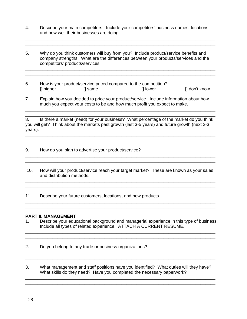4. Describe your main competitors. Include your competitors' business names, locations, and how well their businesses are doing.

\_\_\_\_\_\_\_\_\_\_\_\_\_\_\_\_\_\_\_\_\_\_\_\_\_\_\_\_\_\_\_\_\_\_\_\_\_\_\_\_\_\_\_\_\_\_\_\_\_\_\_\_\_\_\_\_\_\_\_\_\_\_\_\_\_\_\_\_\_\_\_\_\_\_\_\_\_ \_\_\_\_\_\_\_\_\_\_\_\_\_\_\_\_\_\_\_\_\_\_\_\_\_\_\_\_\_\_\_\_\_\_\_\_\_\_\_\_\_\_\_\_\_\_\_\_\_\_\_\_\_\_\_\_\_\_\_\_\_\_\_\_\_\_\_\_\_\_\_\_\_\_\_\_\_

5. Why do you think customers will buy from you? Include product/service benefits and company strengths. What are the differences between your products/services and the competitors' products/services.

\_\_\_\_\_\_\_\_\_\_\_\_\_\_\_\_\_\_\_\_\_\_\_\_\_\_\_\_\_\_\_\_\_\_\_\_\_\_\_\_\_\_\_\_\_\_\_\_\_\_\_\_\_\_\_\_\_\_\_\_\_\_\_\_\_\_\_\_\_\_\_\_\_\_\_\_\_ \_\_\_\_\_\_\_\_\_\_\_\_\_\_\_\_\_\_\_\_\_\_\_\_\_\_\_\_\_\_\_\_\_\_\_\_\_\_\_\_\_\_\_\_\_\_\_\_\_\_\_\_\_\_\_\_\_\_\_\_\_\_\_\_\_\_\_\_\_\_\_\_\_\_\_\_\_

- 6. How is your product/service priced compared to the competition? [] higher [] same [] lower [] lower [] don't know
- 7. Explain how you decided to price your product/service. Include information about how much you expect your costs to be and how much profit you expect to make.

\_\_\_\_\_\_\_\_\_\_\_\_\_\_\_\_\_\_\_\_\_\_\_\_\_\_\_\_\_\_\_\_\_\_\_\_\_\_\_\_\_\_\_\_\_\_\_\_\_\_\_\_\_\_\_\_\_\_\_\_\_\_\_\_\_\_\_\_\_\_\_\_\_\_\_\_\_ 8. Is there a market (need) for your business? What percentage of the market do you think you will get? Think about the markets past growth (last 3-5 years) and future growth (next 2-3 years).

\_\_\_\_\_\_\_\_\_\_\_\_\_\_\_\_\_\_\_\_\_\_\_\_\_\_\_\_\_\_\_\_\_\_\_\_\_\_\_\_\_\_\_\_\_\_\_\_\_\_\_\_\_\_\_\_\_\_\_\_\_\_\_\_\_\_\_\_\_\_\_\_\_\_\_\_\_ \_\_\_\_\_\_\_\_\_\_\_\_\_\_\_\_\_\_\_\_\_\_\_\_\_\_\_\_\_\_\_\_\_\_\_\_\_\_\_\_\_\_\_\_\_\_\_\_\_\_\_\_\_\_\_\_\_\_\_\_\_\_\_\_\_\_\_\_\_\_\_\_\_\_\_\_\_

\_\_\_\_\_\_\_\_\_\_\_\_\_\_\_\_\_\_\_\_\_\_\_\_\_\_\_\_\_\_\_\_\_\_\_\_\_\_\_\_\_\_\_\_\_\_\_\_\_\_\_\_\_\_\_\_\_\_\_\_\_\_\_\_\_\_\_\_\_\_\_\_\_\_\_\_\_

- 9. How do you plan to advertise your product/service?  $\frac{1}{2}$  ,  $\frac{1}{2}$  ,  $\frac{1}{2}$  ,  $\frac{1}{2}$  ,  $\frac{1}{2}$  ,  $\frac{1}{2}$  ,  $\frac{1}{2}$  ,  $\frac{1}{2}$  ,  $\frac{1}{2}$  ,  $\frac{1}{2}$  ,  $\frac{1}{2}$  ,  $\frac{1}{2}$  ,  $\frac{1}{2}$  ,  $\frac{1}{2}$  ,  $\frac{1}{2}$  ,  $\frac{1}{2}$  ,  $\frac{1}{2}$  ,  $\frac{1}{2}$  ,  $\frac{1$
- 10. How will your product/service reach your target market? These are known as your sales and distribution methods. \_\_\_\_\_\_\_\_\_\_\_\_\_\_\_\_\_\_\_\_\_\_\_\_\_\_\_\_\_\_\_\_\_\_\_\_\_\_\_\_\_\_\_\_\_\_\_\_\_\_\_\_\_\_\_\_\_\_\_\_\_\_\_\_\_\_\_\_\_\_\_\_\_\_\_\_\_

\_\_\_\_\_\_\_\_\_\_\_\_\_\_\_\_\_\_\_\_\_\_\_\_\_\_\_\_\_\_\_\_\_\_\_\_\_\_\_\_\_\_\_\_\_\_\_\_\_\_\_\_\_\_\_\_\_\_\_\_\_\_\_\_\_\_\_\_\_\_\_\_\_\_\_\_\_

\_\_\_\_\_\_\_\_\_\_\_\_\_\_\_\_\_\_\_\_\_\_\_\_\_\_\_\_\_\_\_\_\_\_\_\_\_\_\_\_\_\_\_\_\_\_\_\_\_\_\_\_\_\_\_\_\_\_\_\_\_\_\_\_\_\_\_\_\_\_\_\_\_\_\_\_\_ \_\_\_\_\_\_\_\_\_\_\_\_\_\_\_\_\_\_\_\_\_\_\_\_\_\_\_\_\_\_\_\_\_\_\_\_\_\_\_\_\_\_\_\_\_\_\_\_\_\_\_\_\_\_\_\_\_\_\_\_\_\_\_\_\_\_\_\_\_\_\_\_\_\_\_\_\_

11. Describe your future customers, locations, and new products.

#### **PART II. MANAGEMENT**

1. Describe your educational background and managerial experience in this type of business. Include all types of related experience. ATTACH A CURRENT RESUME.

\_\_\_\_\_\_\_\_\_\_\_\_\_\_\_\_\_\_\_\_\_\_\_\_\_\_\_\_\_\_\_\_\_\_\_\_\_\_\_\_\_\_\_\_\_\_\_\_\_\_\_\_\_\_\_\_\_\_\_\_\_\_\_\_\_\_\_\_\_\_\_\_\_\_\_\_\_ \_\_\_\_\_\_\_\_\_\_\_\_\_\_\_\_\_\_\_\_\_\_\_\_\_\_\_\_\_\_\_\_\_\_\_\_\_\_\_\_\_\_\_\_\_\_\_\_\_\_\_\_\_\_\_\_\_\_\_\_\_\_\_\_\_\_\_\_\_\_\_\_\_\_\_\_\_

\_\_\_\_\_\_\_\_\_\_\_\_\_\_\_\_\_\_\_\_\_\_\_\_\_\_\_\_\_\_\_\_\_\_\_\_\_\_\_\_\_\_\_\_\_\_\_\_\_\_\_\_\_\_\_\_\_\_\_\_\_\_\_\_\_\_\_\_\_\_\_\_\_\_\_\_\_ \_\_\_\_\_\_\_\_\_\_\_\_\_\_\_\_\_\_\_\_\_\_\_\_\_\_\_\_\_\_\_\_\_\_\_\_\_\_\_\_\_\_\_\_\_\_\_\_\_\_\_\_\_\_\_\_\_\_\_\_\_\_\_\_\_\_\_\_\_\_\_\_\_\_\_\_\_

2. Do you belong to any trade or business organizations?

3. What management and staff positions have you identified? What duties will they have? What skills do they need? Have you completed the necessary paperwork?

\_\_\_\_\_\_\_\_\_\_\_\_\_\_\_\_\_\_\_\_\_\_\_\_\_\_\_\_\_\_\_\_\_\_\_\_\_\_\_\_\_\_\_\_\_\_\_\_\_\_\_\_\_\_\_\_\_\_\_\_\_\_\_\_\_\_\_\_\_\_\_\_\_\_\_\_\_ \_\_\_\_\_\_\_\_\_\_\_\_\_\_\_\_\_\_\_\_\_\_\_\_\_\_\_\_\_\_\_\_\_\_\_\_\_\_\_\_\_\_\_\_\_\_\_\_\_\_\_\_\_\_\_\_\_\_\_\_\_\_\_\_\_\_\_\_\_\_\_\_\_\_\_\_\_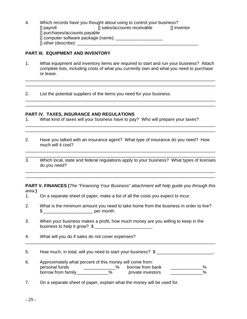4. Which records have you thought about using to control your business? [] payroll [] sales/accounts receivable [] inventor [] purchases/accounts payable [] computer software package (name): \_\_\_\_\_\_\_\_\_\_\_\_\_\_\_\_\_\_\_  $\Box$  other (describe):

## **PART III. EQUIPMENT AND INVENTORY**

1. What equipment and inventory items are required to start and run your business? Attach complete lists, including costs of what you currently own and what you need to purchase or lease.

\_\_\_\_\_\_\_\_\_\_\_\_\_\_\_\_\_\_\_\_\_\_\_\_\_\_\_\_\_\_\_\_\_\_\_\_\_\_\_\_\_\_\_\_\_\_\_\_\_\_\_\_\_\_\_\_\_\_\_\_\_\_\_\_\_\_\_\_\_\_\_\_\_\_\_\_\_ \_\_\_\_\_\_\_\_\_\_\_\_\_\_\_\_\_\_\_\_\_\_\_\_\_\_\_\_\_\_\_\_\_\_\_\_\_\_\_\_\_\_\_\_\_\_\_\_\_\_\_\_\_\_\_\_\_\_\_\_\_\_\_\_\_\_\_\_\_\_\_\_\_\_\_\_\_

\_\_\_\_\_\_\_\_\_\_\_\_\_\_\_\_\_\_\_\_\_\_\_\_\_\_\_\_\_\_\_\_\_\_\_\_\_\_\_\_\_\_\_\_\_\_\_\_\_\_\_\_\_\_\_\_\_\_\_\_\_\_\_\_\_\_\_\_\_\_\_\_\_\_\_\_\_ \_\_\_\_\_\_\_\_\_\_\_\_\_\_\_\_\_\_\_\_\_\_\_\_\_\_\_\_\_\_\_\_\_\_\_\_\_\_\_\_\_\_\_\_\_\_\_\_\_\_\_\_\_\_\_\_\_\_\_\_\_\_\_\_\_\_\_\_\_\_\_\_\_\_\_\_\_

\_\_\_\_\_\_\_\_\_\_\_\_\_\_\_\_\_\_\_\_\_\_\_\_\_\_\_\_\_\_\_\_\_\_\_\_\_\_\_\_\_\_\_\_\_\_\_\_\_\_\_\_\_\_\_\_\_\_\_\_\_\_\_\_\_\_\_\_\_\_\_\_\_\_\_\_\_ \_\_\_\_\_\_\_\_\_\_\_\_\_\_\_\_\_\_\_\_\_\_\_\_\_\_\_\_\_\_\_\_\_\_\_\_\_\_\_\_\_\_\_\_\_\_\_\_\_\_\_\_\_\_\_\_\_\_\_\_\_\_\_\_\_\_\_\_\_\_\_\_\_\_\_\_\_

2. List the potential suppliers of the items you need for your business.

#### **PART IV. TAXES, INSURANCE AND REGULATIONS**

- 1. What kind of taxes will your business have to pay? Who will prepare your taxes?
- 2. Have you talked with an insurance agent? What type of insurance do you need? How much will it cost?
- \_\_\_\_\_\_\_\_\_\_\_\_\_\_\_\_\_\_\_\_\_\_\_\_\_\_\_\_\_\_\_\_\_\_\_\_\_\_\_\_\_\_\_\_\_\_\_\_\_\_\_\_\_\_\_\_\_\_\_\_\_\_\_\_\_\_\_\_\_\_\_\_\_\_\_\_\_ 3. Which local, state and federal regulations apply to your business? What types of licenses do you need? \_\_\_\_\_\_\_\_\_\_\_\_\_\_\_\_\_\_\_\_\_\_\_\_\_\_\_\_\_\_\_\_\_\_\_\_\_\_\_\_\_\_\_\_\_\_\_\_\_\_\_\_\_\_\_\_\_\_\_\_\_\_\_\_\_\_\_\_\_\_\_\_\_\_\_\_\_

\_\_\_\_\_\_\_\_\_\_\_\_\_\_\_\_\_\_\_\_\_\_\_\_\_\_\_\_\_\_\_\_\_\_\_\_\_\_\_\_\_\_\_\_\_\_\_\_\_\_\_\_\_\_\_\_\_\_\_\_\_\_\_\_\_\_\_\_\_\_\_\_\_\_\_\_\_

**PART V. FINANCES (***The "Financing Your Business" attachment will help guide you through this area.***)** 

\_\_\_\_\_\_\_\_\_\_\_\_\_\_\_\_\_\_\_\_\_\_\_\_\_\_\_\_\_\_\_\_\_\_\_\_\_\_\_\_\_\_\_\_\_\_\_\_\_\_\_\_\_\_\_\_\_\_\_\_\_\_\_\_\_\_\_\_\_\_\_\_\_\_\_\_\_

- 1. On a separate sheet of paper, make a list of all the costs you expect to incur.
- 2. What is the minimum amount you need to take home from the business in order to live?  $\text{S}$  per month.
- 3. When your business makes a profit, how much money are you willing to keep in the business to help it grow?  $\frac{1}{2}$
- 4. What will you do if sales do not cover expenses?
- 5. How much, in total, will you need to start your business?  $\$\,$

\_\_\_\_\_\_\_\_\_\_\_\_\_\_\_\_\_\_\_\_\_\_\_\_\_\_\_\_\_\_\_\_\_\_\_\_\_\_\_\_\_\_\_\_\_\_\_\_\_\_\_\_\_\_\_\_\_\_\_\_\_\_\_\_\_\_\_\_\_\_\_\_\_\_\_\_\_

- 6. Approximately what percent of this money will come from: personal funds \_\_\_\_\_\_\_\_\_\_\_\_\_\_% borrow from bank \_\_\_\_\_\_\_\_\_\_\_\_\_\_%<br>borrow from family  $\begin{array}{cc} \sim & \text{6} & \text{6} \\ \text{6} & \text{6} & \text{6} \\ \text{7} & \text{7} & \text{7} \\ \text{8} & \text{8} & \text{8} \end{array}$ borrow from family
- 7. On a separate sheet of paper, explain what the money will be used for.